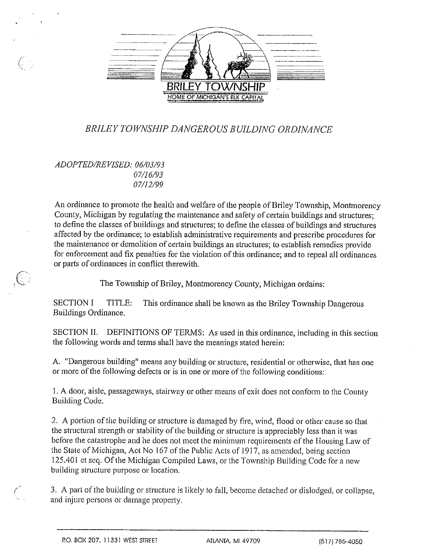

## BRILEY TOWNSHIP DANGER0 Us BUILDING ORDINANcE

ADOPTED/REVISED: 06/03/93 07/16/93 07/12/99

7- L

> An ordinance to promote the health and welfare of the people of Briley Township, Montmorency County, Michigan by regulating the maintenance and safety of certain buildings and structures; to define the classes of buildings and structures; to define the classes of buildings and structures affected by the ordinance; to establish administrative requirements and prescribe procedures for the maintenance or demolition of certain buildings an structures; to establish remedies provide for enforcement and fix penalties for the violation of this ordinance; and to repeal all ordinances or parts of ordinances in conflict therewith.

> > The Township of Briley, Montmorency County, Michigan ordains:

SECTION I TITLE: This ordinance shall be known as the Briley Township Dangerous Buildings Ordinance.

SECTION II. DEFINITIONS OF TERMS: As used in this ordinance, including in this section the following words and terms shall have the meanings stated herein:

A. "Dangerous building" means any building or structure, residential or otherwise, that has one or more of the following defects or is in one or more of the following conditions:

I. A door, aisle, passageways, stairway or other means of exit does not conform to the County Building Code.

2. A portion of the building or structure is damaged by fire, wind, flood or other cause so that the structural strength or stability of the building or structure is appreciably less than it was before the catastrophe and he does not meet the minimum requirements of the Housing Law of the State of Michigan, Act No 167 of the Public Acts of 1917, as amended, being section 125.40 <sup>I</sup> et seq. Of the Michigan Compiled Laws, or the Township Building Code for <sup>a</sup> new building structure purpose or location.

3. A part of the building or structure is likely to fall, become detached or dislodged, or collapse, and injure persons or damage property.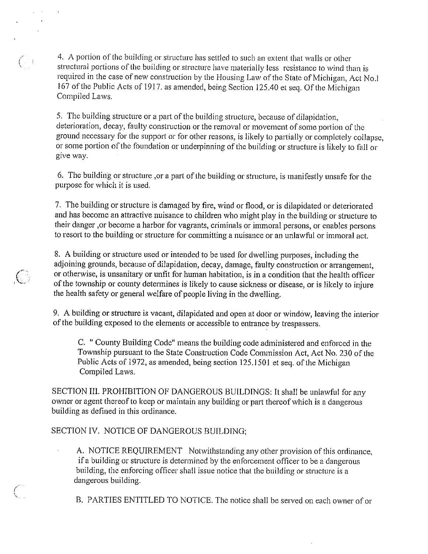4. A portion of the building or structure has settled to such an extent that walls or other structural portions of the building or structure have materially less resistance to wind than is required in the case of new construction by the Housing Law of the State of Michigan, Act No.1 167 of the Public Acts of 1917. as amended, being Section 125.40 et seq. Of the Michigan Compiled Laws.

5. The building structure or a part of the building structure, because of dilapidation, deterioration, decay, faulty construction or the removal or movement of some portion of the ground necessary for the support or for other reasons, is likely to partially or completely collapse, or some portion of the foundation or underpinning of the building or structure is likely to fall or give way.

6. The building or structure ,or <sup>a</sup> part of the building or structure, is manifestly unsafe for the purpose for which it is used.

7. The building or structure is damaged by fire, wind or flood, or is dilapidated or deteriorated and has become an attractive nuisance to children who might play in the building or structure to their danger ,or become a harbor for vagrants, criminals or immoral persons, or enables persons to resort to the building or structure for committing <sup>a</sup> nuisance or an unlawful or immoral act.

8. A building or structure used or intended to be used for dwelling purposes, including the adjoining grounds, because of dilapidation, decay, damage, faulty construction or arrangement, or otherwise, is unsanitary or unfit for human habitation, is in <sup>a</sup> condition that the health officer of the township or county determines is likely to cause sickness or disease, or is likely to injure the health safety or general welfare of people living in the dwelling.

9. A building or structure is vacant, dilapidated and open at door or window, leaving the interior of the building exposed to the elements or accessible to entrance by trespassers.

C. " County Building Code" means the building code administered and enforced in the Township pursuant to the State Construction Code Commission Act, Act No. 230 of the Public Acts of 1972, as amended, being section 125.1501 et seq. of the Michigan Compiled Laws.

SECTION III. PROHIBITION OF DANGEROUS BUILDINGS: It shall be unlawfhl for any owner or agent thereof to keep or maintain any building or part thereof which is <sup>a</sup> dangerous building as defined in this ordinance.

SECTION IV. NOTICE OF DANGEROUS BUILDING;

 $\hat{\boldsymbol{\beta}}$ 

A. NOTICE REQUIREMENT Notwithstanding any other provision of this ordinance, if <sup>a</sup> building or structure is determined by the enforcement officer to be <sup>a</sup> dangerous building, the enforcing officer shall issue notice that the building or structure is <sup>a</sup> dangerous building.

B. PARTIES ENTITLED TO NOTICE. The notice shall be served on each owner of or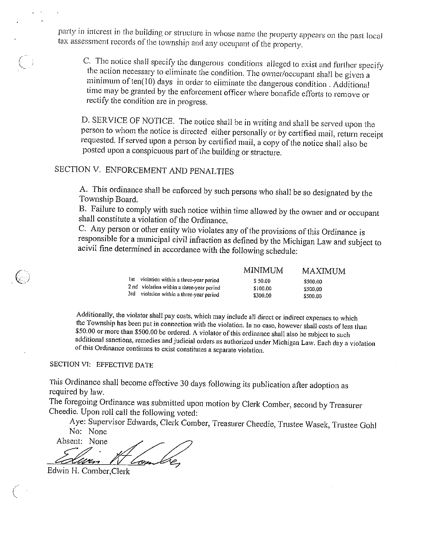party in interest in the building or structure in whose name the property appears on the past local tax assessment records of the township and any occupant of the property.

C. The notice shall specify the dangerous conditions alleged to exist and further specify the action necessary to eliminate the condition. The owner/occupant shall be given <sup>a</sup> minimum of  $ten(10)$  days in order to eliminate the dangerous condition. Additional time may be granted by the enforcement officer where bonafide efforts to remove or rectify the condition are in progress.

D. SERVICE OF NOTICE. The notice shall be in writing and shall be served upon the person to whom the notice is directed either personally or by certified mail, return receipt requested. If served upon <sup>a</sup> person by certified mail, <sup>a</sup> copy of the notice shall also be posted upon <sup>a</sup> conspicuous part of the building or structure.

## SECTION V. ENFORCEMENT AND PENALTIES

A. This ordinance shall be enforced by such persons who shall be so designated by the Township Board.

B. Failure to comply with such notice within time allowed by the owner and or occupant shall constitute <sup>a</sup> violation of the Ordinance.

C. Any person or other entity who violates any of the provisions of this Ordinance is responsible for a municipal civil infraction as defined by the Michigan Law and subject to acivil fine determined in accordance with the following schedule:

|     |                                           | MINIMUM  | MAXIMUM  |
|-----|-------------------------------------------|----------|----------|
| lst | violation within a three-year period      | \$50.00  | \$500.00 |
|     | 2 nd violation within a three-year period | \$100.00 | \$500.00 |
|     | 3rd violation within a three-year period  | \$300.00 | \$500.00 |

Additionally, the violator shalt pay costs, which may include all direct or indirect expenses to which the Township has been put in connection with the violation. In no case, however shall costs of less than \$50.00 or more than \$500.00 be ordered. A violator of this ordinance shall also be subject to such additional sanctions, remedies and judicial orders as authorized under Michigan Law. Each day <sup>a</sup> violation of this Ordinance continues to exist constitutes a separate violation.

## SECTION VI: EFFECTIVE DATE

 $\left(\begin{smallmatrix}1& &\cdots& 0\0& &\cdots& \end{smallmatrix}\right)$ 

This Ordinance shall become effective 30 days following its publication after adoption as required by law.

The foregoing Ordinance was submitted upon motion by Clerk Comber, second by Treasurer Cheedie. Upon roll call the following voted:

Aye: Supervisor Edwards, Clerk Comber, Treasurer Cheedie, Trustee Wasek, Trustee Gohl No: None

Absent: None Aye: Supervisor B<br>
No: None<br>
Absent: None<br>
Edwin H. Comber, Clerk ECTIVE DATE<br>
ECTIVE DATE<br>
all become effective 30 d<br>
dinance was submitted up<br>
ll call the following vote<br>
visor Edwards, Clerk Con<br>
Service Clerk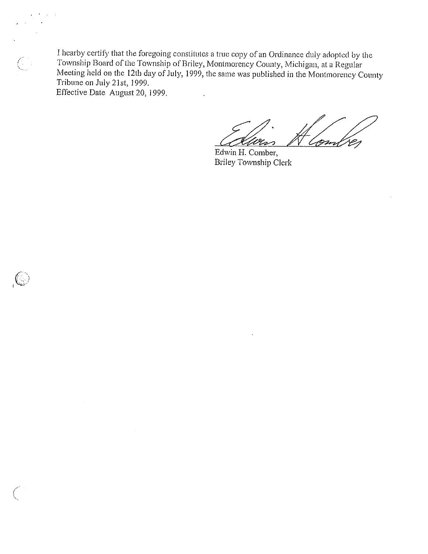I hearby certify that the foregoing constitutes <sup>a</sup> true copy ofan Ordinance duly adopted by the Township Board of the Township of Briley, Montmorency County, Michigan, at <sup>a</sup> Regular Meeting held on the 12th day of July, 1999, the same was published in the Montrnorency County Tribune on July 21st, 1999. Effective Date August 20, 1999.

Ç.

 $\left($ 

Wer .<br>1971

Edwin H. Comber, Briley Township Clerk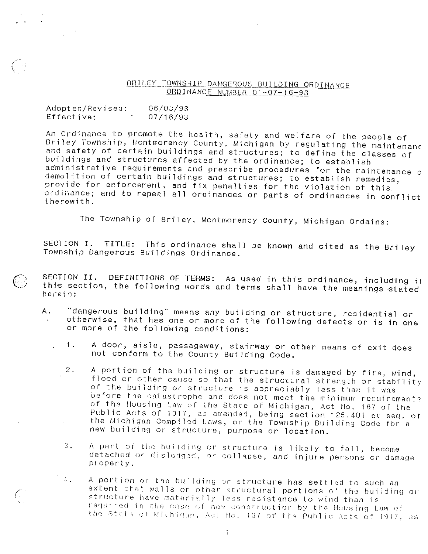## BRILEY TOWNSHIP DANGEROUS BUILDING ORDINANCE ORDINANCE NUMBER 01-07-16-93

| Adopted/Revised: | 06/03/93 |
|------------------|----------|
| Effective:       | 07/16/93 |

 $\sim 10^{11}$ 

An Ordinance to promote the health, safety and welfare of the people of An ordinance to promote the hearth, salety and wellare of the people of<br>Briley Township, Montmorency County, Michigan by regulating the maintenanc princy fomiship) montmorency county, michigan by regulating the maintena<br>and safety of certain buildings and structures; to define the classes of buildings and structures affected by the ordinance; to establish administrative requirements and prescribe procedures for the maintenance <sup>c</sup> demolition of certain buildings and structures; to establish remedies, provide for enforcement, and fix penalties for the violation of this ordinance; and to repeal all ordinances or parts of ordinances in conflict therewith.

The Township of Briley, Montmorency County, Michigan Ordains:

SECTION I. TITLE: This ordinance shall be known and cited as the Briley Township Dangerous Buildings Ordinance.

- SECTION II. DEFINITIONS OF TERMS: As used in this ordinance, including in<br>this section, the following words and terms shall have the meanings stated herein:
	- A. 'dangerous building" means any building or structure, residential or otherwise, that has one or more of the following defects or is in one or more of the following conditions:
		- 1. <sup>A</sup> door, aisle, passageway, stairway or other means of exit does not conform to the County Building Code.
		- 2. <sup>A</sup> portion of the building or structure is damaged by fire, wind, flood or other cause so that the structural strength or stability of the building or structure is appreciably less than it was before the catastrophe and does not meet the minimum requirements of the Housing Law of the State of Michigan, Act No. 167 of the Public Acts of 1917, as amended, being section 125.401 et seq. of the Michigan Compiled Laws, or the Township Building Code for a new building or structure, purpose or location.
		- 3. A part of the building or structure is likely to fall, become detachad or dislodged, or collapse, and injure persons or damage property.

 $1.4.$  A portion of the building or structure has settled to such an extent that walls or other structural portions of the building or structure have materially less resistance to wind than is required in the case of new construction by the Housing Law of the State of Michigan, Act No. 187 of the Public Acts of 1917, as